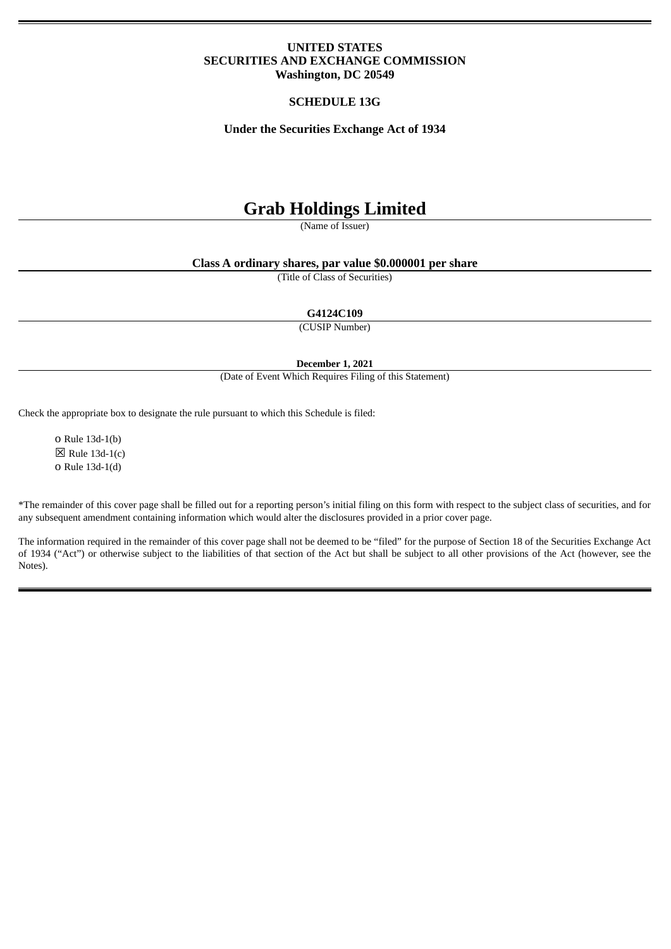# **UNITED STATES SECURITIES AND EXCHANGE COMMISSION Washington, DC 20549**

# **SCHEDULE 13G**

**Under the Securities Exchange Act of 1934**

# **Grab Holdings Limited**

(Name of Issuer)

# **Class A ordinary shares, par value \$0.000001 per share**

(Title of Class of Securities)

**G4124C109**

(CUSIP Number)

**December 1, 2021**

(Date of Event Which Requires Filing of this Statement)

Check the appropriate box to designate the rule pursuant to which this Schedule is filed:

o Rule 13d-1(b)  $\boxtimes$  Rule 13d-1(c) o Rule 13d-1(d)

\*The remainder of this cover page shall be filled out for a reporting person's initial filing on this form with respect to the subject class of securities, and for any subsequent amendment containing information which would alter the disclosures provided in a prior cover page.

The information required in the remainder of this cover page shall not be deemed to be "filed" for the purpose of Section 18 of the Securities Exchange Act of 1934 ("Act") or otherwise subject to the liabilities of that section of the Act but shall be subject to all other provisions of the Act (however, see the Notes).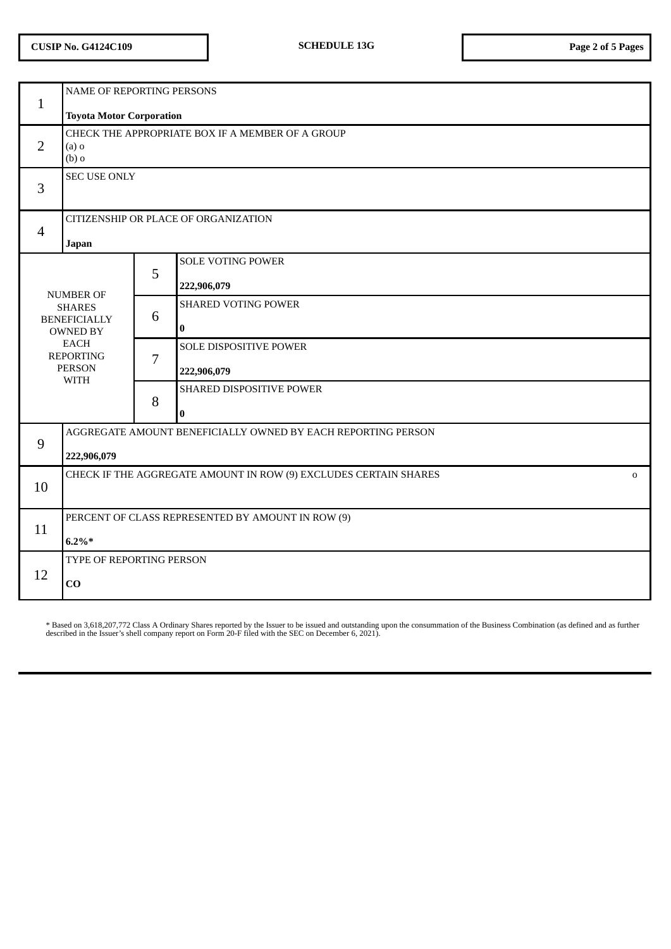# **CUSIP No. G4124C109 SCHEDULE 13G Page 2 of 5 Pages**

| $\mathbf{1}$                                                                                                                                   | NAME OF REPORTING PERSONS<br><b>Toyota Motor Corporation</b>                     |   |                                         |  |
|------------------------------------------------------------------------------------------------------------------------------------------------|----------------------------------------------------------------------------------|---|-----------------------------------------|--|
| $\overline{2}$                                                                                                                                 | CHECK THE APPROPRIATE BOX IF A MEMBER OF A GROUP<br>$(a)$ o<br>$(b)$ o           |   |                                         |  |
| 3                                                                                                                                              | <b>SEC USE ONLY</b>                                                              |   |                                         |  |
| $\overline{4}$                                                                                                                                 | CITIZENSHIP OR PLACE OF ORGANIZATION<br>Japan                                    |   |                                         |  |
| <b>NUMBER OF</b><br><b>SHARES</b><br><b>BENEFICIALLY</b><br><b>OWNED BY</b><br><b>EACH</b><br><b>REPORTING</b><br><b>PERSON</b><br><b>WITH</b> |                                                                                  | 5 | <b>SOLE VOTING POWER</b><br>222,906,079 |  |
|                                                                                                                                                |                                                                                  | 6 | <b>SHARED VOTING POWER</b><br>$\bf{0}$  |  |
|                                                                                                                                                |                                                                                  | 7 | SOLE DISPOSITIVE POWER<br>222,906,079   |  |
|                                                                                                                                                |                                                                                  | 8 | SHARED DISPOSITIVE POWER<br>$\bf{0}$    |  |
| 9                                                                                                                                              | AGGREGATE AMOUNT BENEFICIALLY OWNED BY EACH REPORTING PERSON<br>222,906,079      |   |                                         |  |
| 10                                                                                                                                             | CHECK IF THE AGGREGATE AMOUNT IN ROW (9) EXCLUDES CERTAIN SHARES<br>$\mathbf{O}$ |   |                                         |  |
| 11                                                                                                                                             | PERCENT OF CLASS REPRESENTED BY AMOUNT IN ROW (9)<br>$6.2\%*$                    |   |                                         |  |
| 12                                                                                                                                             | TYPE OF REPORTING PERSON<br>CO                                                   |   |                                         |  |

\* Based on 3,618,207,772 Class A Ordinary Shares reported by the Issuer to be issued and outstanding upon the consummation of the Business Combination (as defined and as further<br>described in the Issuer's shell company repo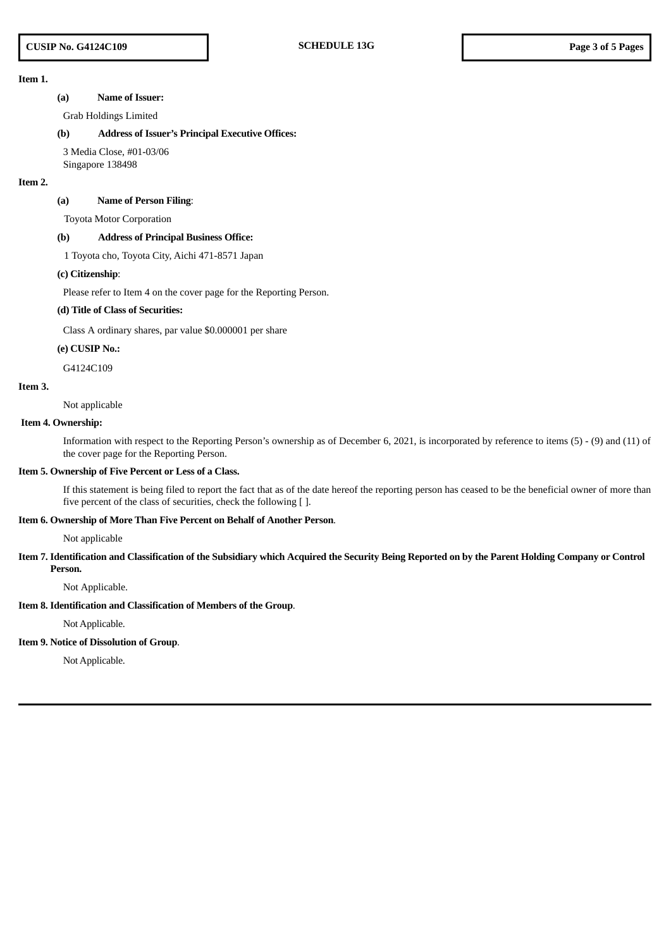# **Item 1.**

#### **(a) Name of Issuer:**

Grab Holdings Limited

#### **(b) Address of Issuer's Principal Executive Offices:**

3 Media Close, #01-03/06 Singapore 138498

#### **Item 2.**

#### **(a) Name of Person Filing**:

Toyota Motor Corporation

#### **(b) Address of Principal Business Office:**

1 Toyota cho, Toyota City, Aichi 471-8571 Japan

#### **(c) Citizenship**:

Please refer to Item 4 on the cover page for the Reporting Person.

## **(d) Title of Class of Securities:**

Class A ordinary shares, par value \$0.000001 per share

#### **(e) CUSIP No.:**

G4124C109

#### **Item 3.**

Not applicable

#### **Item 4. Ownership:**

Information with respect to the Reporting Person's ownership as of December 6, 2021, is incorporated by reference to items (5) - (9) and (11) of the cover page for the Reporting Person.

#### **Item 5. Ownership of Five Percent or Less of a Class.**

If this statement is being filed to report the fact that as of the date hereof the reporting person has ceased to be the beneficial owner of more than five percent of the class of securities, check the following [ ].

#### **Item 6. Ownership of More Than Five Percent on Behalf of Another Person**.

Not applicable

#### Item 7. Identification and Classification of the Subsidiary which Acquired the Security Being Reported on by the Parent Holding Company or Control **Person.**

Not Applicable.

#### **Item 8. Identification and Classification of Members of the Group**.

Not Applicable.

# **Item 9. Notice of Dissolution of Group**.

Not Applicable.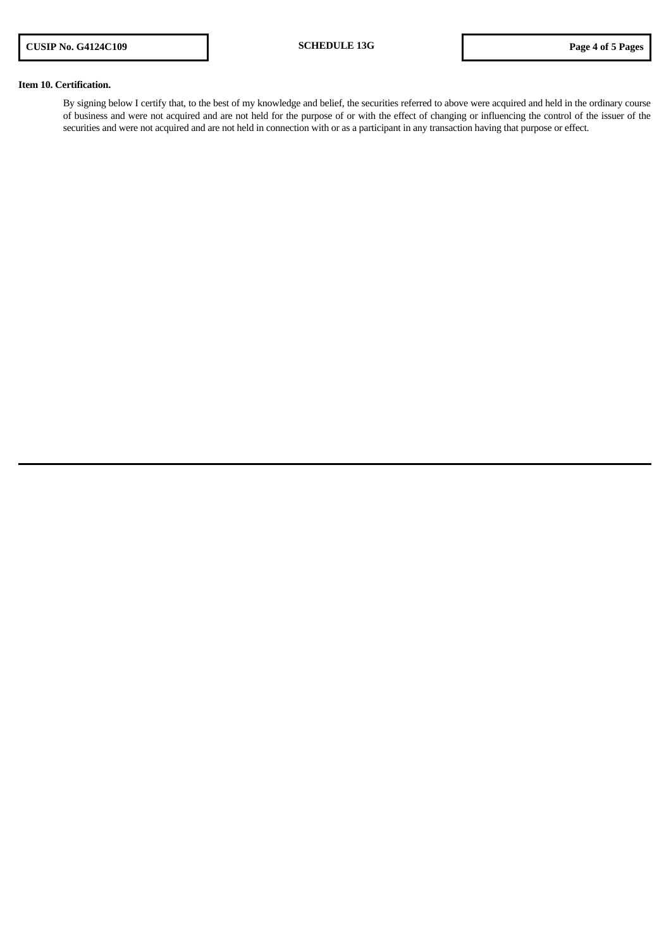## **Item 10. Certification.**

By signing below I certify that, to the best of my knowledge and belief, the securities referred to above were acquired and held in the ordinary course of business and were not acquired and are not held for the purpose of or with the effect of changing or influencing the control of the issuer of the securities and were not acquired and are not held in connection with or as a participant in any transaction having that purpose or effect.